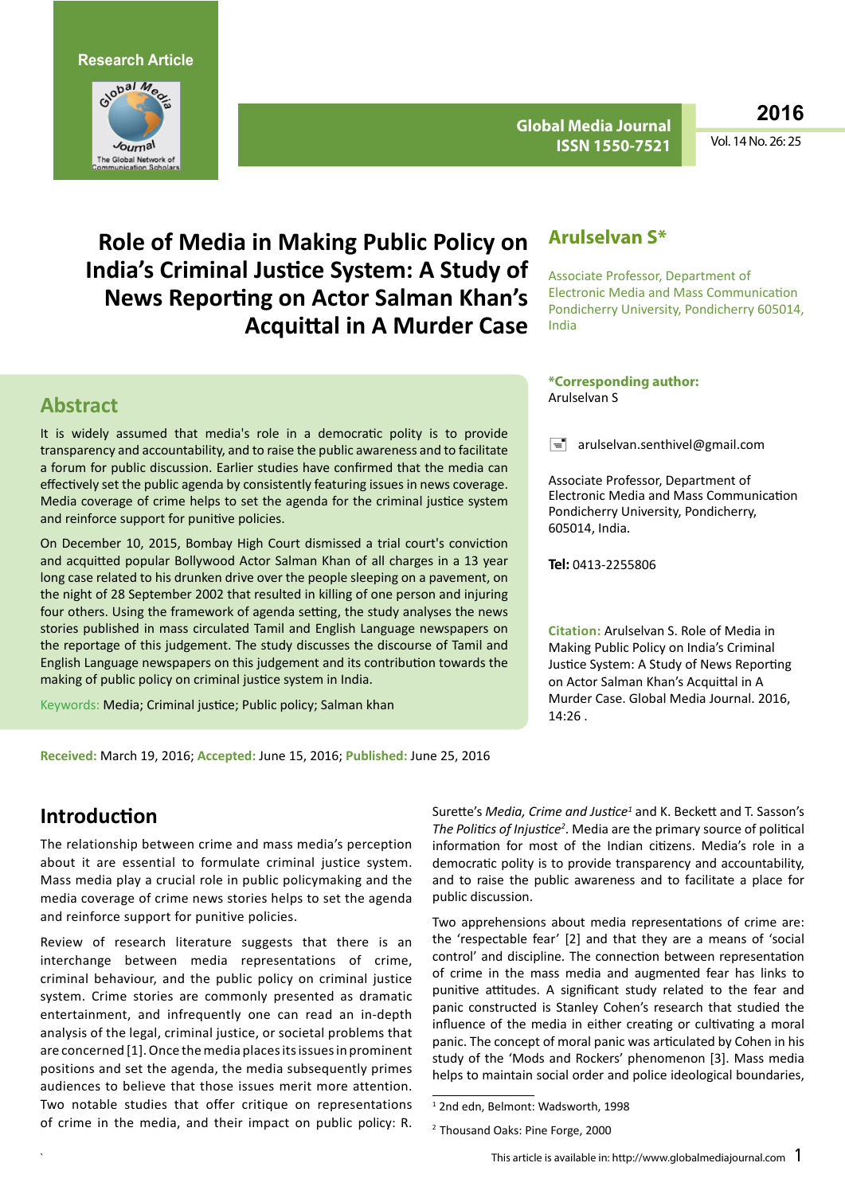**Research Article**



**Global Media Journal ISSN 1550-7521**

**2016**

Vol. 14 No. 26: 25

**Role of Media in Making Public Policy on India's Criminal Justice System: A Study of News Reporting on Actor Salman Khan's Acquittal in A Murder Case**

#### **Abstract**

It is widely assumed that media's role in a democratic polity is to provide transparency and accountability, and to raise the public awareness and to facilitate a forum for public discussion. Earlier studies have confirmed that the media can effectively set the public agenda by consistently featuring issues in news coverage. Media coverage of crime helps to set the agenda for the criminal justice system and reinforce support for punitive policies.

On December 10, 2015, Bombay High Court dismissed a trial court's conviction and acquitted popular Bollywood Actor Salman Khan of all charges in a 13 year long case related to his drunken drive over the people sleeping on a pavement, on the night of 28 September 2002 that resulted in killing of one person and injuring four others. Using the framework of agenda setting, the study analyses the news stories published in mass circulated Tamil and English Language newspapers on the reportage of this judgement. The study discusses the discourse of Tamil and English Language newspapers on this judgement and its contribution towards the making of public policy on criminal justice system in India.

Keywords: Media; Criminal justice; Public policy; Salman khan

#### **Arulselvan S\***

Associate Professor, Department of Electronic Media and Mass Communication Pondicherry University, Pondicherry 605014, India

#### **\*Corresponding author:**  Arulselvan S

 $\equiv$  arulselvan.senthivel@gmail.com

Associate Professor, Department of Electronic Media and Mass Communication Pondicherry University, Pondicherry, 605014, India.

**Tel:** 0413-2255806

**Citation:** Arulselvan S. Role of Media in Making Public Policy on India's Criminal Justice System: A Study of News Reporting on Actor Salman Khan's Acquittal in A Murder Case. Global Media Journal. 2016, 14:26 .

**Received:** March 19, 2016; **Accepted:** June 15, 2016; **Published:** June 25, 2016

#### **Introduction**

The relationship between crime and mass media's perception about it are essential to formulate criminal justice system. Mass media play a crucial role in public policymaking and the media coverage of crime news stories helps to set the agenda and reinforce support for punitive policies.

Review of research literature suggests that there is an interchange between media representations of crime, criminal behaviour, and the public policy on criminal justice system. Crime stories are commonly presented as dramatic entertainment, and infrequently one can read an in-depth analysis of the legal, criminal justice, or societal problems that are concerned [1]. Once the media places its issues in prominent positions and set the agenda, the media subsequently primes audiences to believe that those issues merit more attention. Two notable studies that offer critique on representations of crime in the media, and their impact on public policy: R.

Surette's Media, Crime and Justice<sup>1</sup> and K. Beckett and T. Sasson's *The Politics of Injustice<sup>2</sup>* . Media are the primary source of political information for most of the Indian citizens. Media's role in a democratic polity is to provide transparency and accountability, and to raise the public awareness and to facilitate a place for public discussion.

Two apprehensions about media representations of crime are: the 'respectable fear' [2] and that they are a means of 'social control' and discipline. The connection between representation of crime in the mass media and augmented fear has links to punitive attitudes. A significant study related to the fear and panic constructed is Stanley Cohen's research that studied the influence of the media in either creating or cultivating a moral panic. The concept of moral panic was articulated by Cohen in his study of the 'Mods and Rockers' phenomenon [3]. Mass media helps to maintain social order and police ideological boundaries,

<sup>1</sup> 2nd edn, Belmont: Wadsworth, 1998

<sup>2</sup> Thousand Oaks: Pine Forge, 2000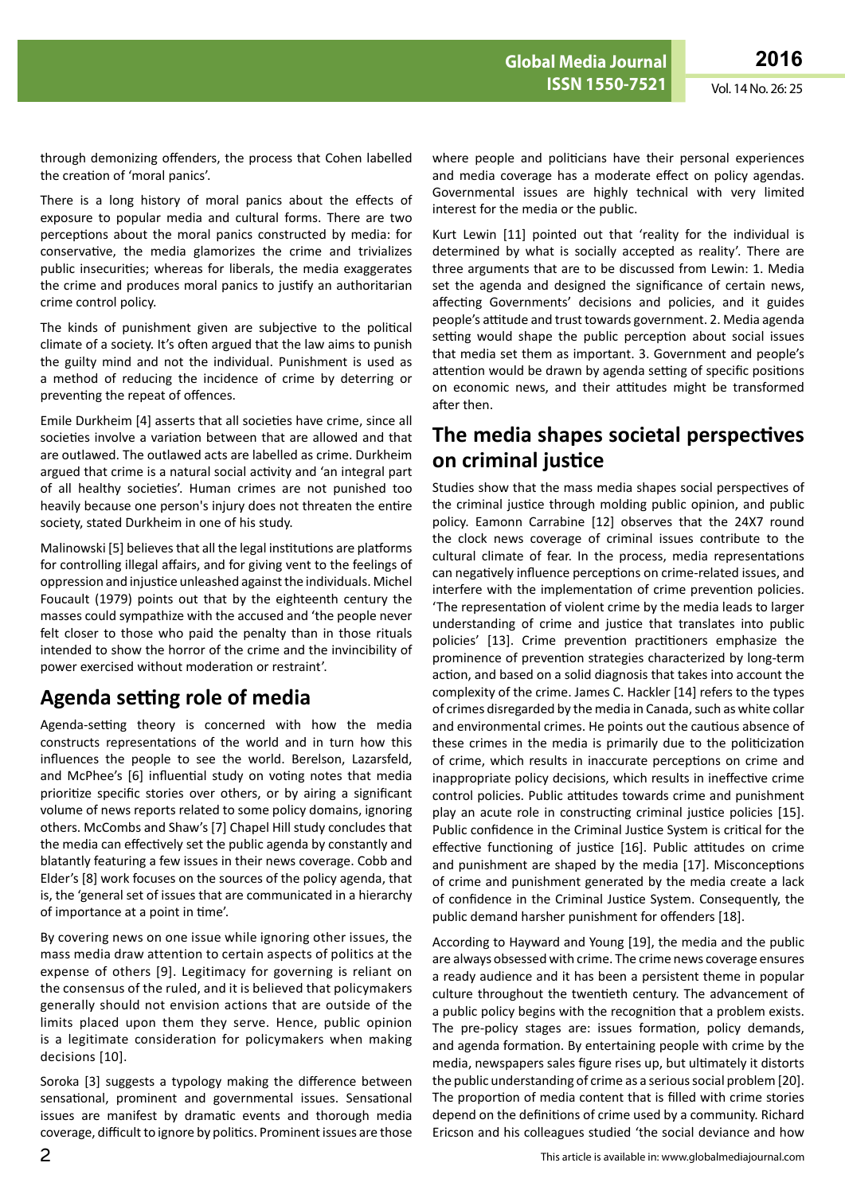through demonizing offenders, the process that Cohen labelled the creation of 'moral panics'.

There is a long history of moral panics about the effects of exposure to popular media and cultural forms. There are two perceptions about the moral panics constructed by media: for conservative, the media glamorizes the crime and trivializes public insecurities; whereas for liberals, the media exaggerates the crime and produces moral panics to justify an authoritarian crime control policy.

The kinds of punishment given are subjective to the political climate of a society. It's often argued that the law aims to punish the guilty mind and not the individual. Punishment is used as a method of reducing the incidence of crime by deterring or preventing the repeat of offences.

Emile Durkheim [4] asserts that all societies have crime, since all societies involve a variation between that are allowed and that are outlawed. The outlawed acts are labelled as crime. Durkheim argued that crime is a natural social activity and 'an integral part of all healthy societies'. Human crimes are not punished too heavily because one person's injury does not threaten the entire society, stated Durkheim in one of his study.

Malinowski [5] believes that all the legal institutions are platforms for controlling illegal affairs, and for giving vent to the feelings of oppression and injustice unleashed against the individuals. Michel Foucault (1979) points out that by the eighteenth century the masses could sympathize with the accused and 'the people never felt closer to those who paid the penalty than in those rituals intended to show the horror of the crime and the invincibility of power exercised without moderation or restraint'.

# **Agenda setting role of media**

Agenda-setting theory is concerned with how the media constructs representations of the world and in turn how this influences the people to see the world. Berelson, Lazarsfeld, and McPhee's [6] influential study on voting notes that media prioritize specific stories over others, or by airing a significant volume of news reports related to some policy domains, ignoring others. McCombs and Shaw's [7] Chapel Hill study concludes that the media can effectively set the public agenda by constantly and blatantly featuring a few issues in their news coverage. Cobb and Elder's [8] work focuses on the sources of the policy agenda, that is, the 'general set of issues that are communicated in a hierarchy of importance at a point in time'.

By covering news on one issue while ignoring other issues, the mass media draw attention to certain aspects of politics at the expense of others [9]. Legitimacy for governing is reliant on the consensus of the ruled, and it is believed that policymakers generally should not envision actions that are outside of the limits placed upon them they serve. Hence, public opinion is a legitimate consideration for policymakers when making decisions [10].

Soroka [3] suggests a typology making the difference between sensational, prominent and governmental issues. Sensational issues are manifest by dramatic events and thorough media coverage, difficult to ignore by politics. Prominent issues are those where people and politicians have their personal experiences and media coverage has a moderate effect on policy agendas. Governmental issues are highly technical with very limited interest for the media or the public.

Kurt Lewin [11] pointed out that 'reality for the individual is determined by what is socially accepted as reality'. There are three arguments that are to be discussed from Lewin: 1. Media set the agenda and designed the significance of certain news, affecting Governments' decisions and policies, and it guides people's attitude and trust towards government. 2. Media agenda setting would shape the public perception about social issues that media set them as important. 3. Government and people's attention would be drawn by agenda setting of specific positions on economic news, and their attitudes might be transformed after then.

#### **The media shapes societal perspectives on criminal justice**

Studies show that the mass media shapes social perspectives of the criminal justice through molding public opinion, and public policy. Eamonn Carrabine [12] observes that the 24X7 round the clock news coverage of criminal issues contribute to the cultural climate of fear. In the process, media representations can negatively influence perceptions on crime-related issues, and interfere with the implementation of crime prevention policies. 'The representation of violent crime by the media leads to larger understanding of crime and justice that translates into public policies' [13]. Crime prevention practitioners emphasize the prominence of prevention strategies characterized by long-term action, and based on a solid diagnosis that takes into account the complexity of the crime. James C. Hackler [14] refers to the types of crimes disregarded by the media in Canada, such as white collar and environmental crimes. He points out the cautious absence of these crimes in the media is primarily due to the politicization of crime, which results in inaccurate perceptions on crime and inappropriate policy decisions, which results in ineffective crime control policies. Public attitudes towards crime and punishment play an acute role in constructing criminal justice policies [15]. Public confidence in the Criminal Justice System is critical for the effective functioning of justice [16]. Public attitudes on crime and punishment are shaped by the media [17]. Misconceptions of crime and punishment generated by the media create a lack of confidence in the Criminal Justice System. Consequently, the public demand harsher punishment for offenders [18].

According to Hayward and Young [19], the media and the public are always obsessed with crime. The crime news coverage ensures a ready audience and it has been a persistent theme in popular culture throughout the twentieth century. The advancement of a public policy begins with the recognition that a problem exists. The pre-policy stages are: issues formation, policy demands, and agenda formation. By entertaining people with crime by the media, newspapers sales figure rises up, but ultimately it distorts the public understanding of crime as a serious social problem [20]. The proportion of media content that is filled with crime stories depend on the definitions of crime used by a community. Richard Ericson and his colleagues studied 'the social deviance and how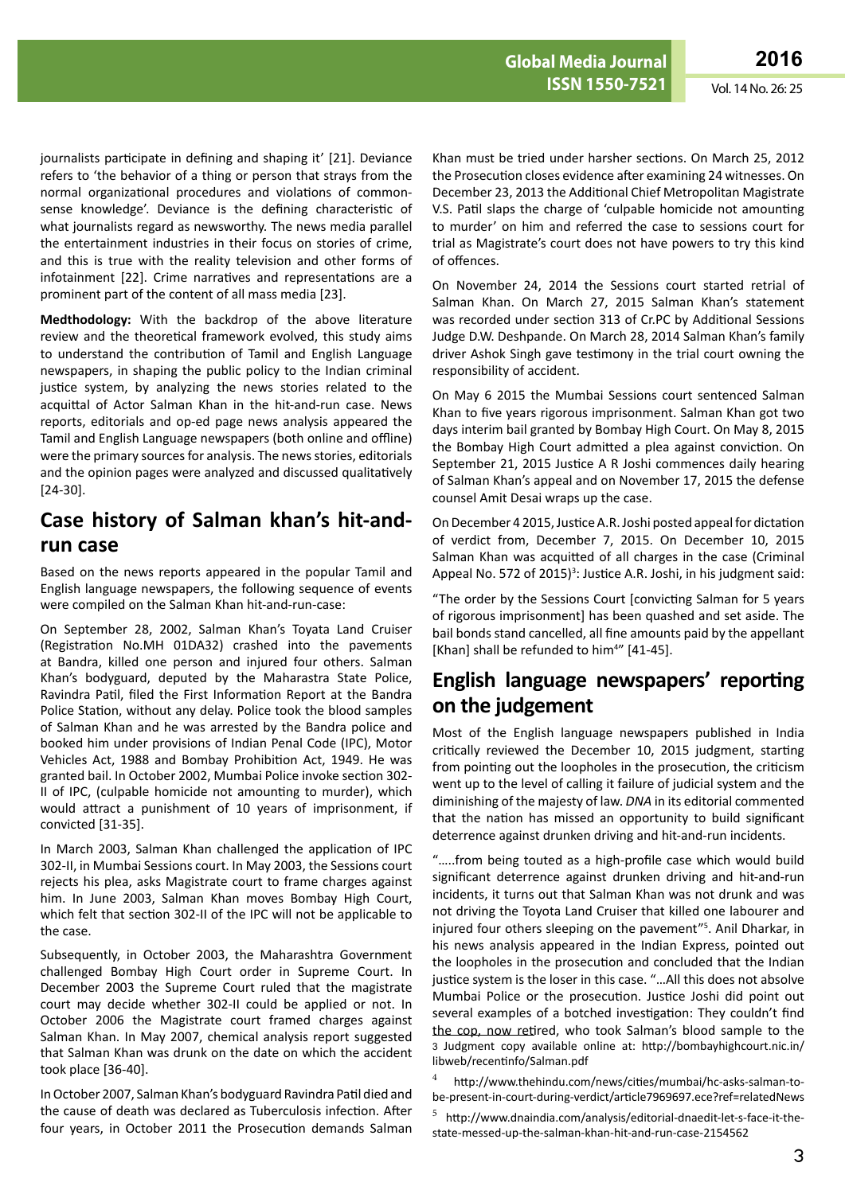journalists participate in defining and shaping it' [21]. Deviance refers to 'the behavior of a thing or person that strays from the normal organizational procedures and violations of commonsense knowledge'. Deviance is the defining characteristic of what journalists regard as newsworthy. The news media parallel the entertainment industries in their focus on stories of crime, and this is true with the reality television and other forms of infotainment [22]. Crime narratives and representations are a prominent part of the content of all mass media [23].

**Medthodology:** With the backdrop of the above literature review and the theoretical framework evolved, this study aims to understand the contribution of Tamil and English Language newspapers, in shaping the public policy to the Indian criminal justice system, by analyzing the news stories related to the acquittal of Actor Salman Khan in the hit-and-run case. News reports, editorials and op-ed page news analysis appeared the Tamil and English Language newspapers (both online and offline) were the primary sources for analysis. The news stories, editorials and the opinion pages were analyzed and discussed qualitatively [24-30].

## **Case history of Salman khan's hit-andrun case**

Based on the news reports appeared in the popular Tamil and English language newspapers, the following sequence of events were compiled on the Salman Khan hit-and-run-case:

On September 28, 2002, Salman Khan's Toyata Land Cruiser (Registration No.MH 01DA32) crashed into the pavements at Bandra, killed one person and injured four others. Salman Khan's bodyguard, deputed by the Maharastra State Police, Ravindra Patil, filed the First Information Report at the Bandra Police Station, without any delay. Police took the blood samples of Salman Khan and he was arrested by the Bandra police and booked him under provisions of Indian Penal Code (IPC), Motor Vehicles Act, 1988 and Bombay Prohibition Act, 1949. He was granted bail. In October 2002, Mumbai Police invoke section 302- II of IPC, (culpable homicide not amounting to murder), which would attract a punishment of 10 years of imprisonment, if convicted [31-35].

In March 2003, Salman Khan challenged the application of IPC 302-II, in Mumbai Sessions court. In May 2003, the Sessions court rejects his plea, asks Magistrate court to frame charges against him. In June 2003, Salman Khan moves Bombay High Court, which felt that section 302-II of the IPC will not be applicable to the case.

Subsequently, in October 2003, the Maharashtra Government challenged Bombay High Court order in Supreme Court. In December 2003 the Supreme Court ruled that the magistrate court may decide whether 302-II could be applied or not. In October 2006 the Magistrate court framed charges against Salman Khan. In May 2007, chemical analysis report suggested that Salman Khan was drunk on the date on which the accident took place [36-40].

In October 2007, Salman Khan's bodyguard Ravindra Patil died and the cause of death was declared as Tuberculosis infection. After four years, in October 2011 the Prosecution demands Salman

Khan must be tried under harsher sections. On March 25, 2012 the Prosecution closes evidence after examining 24 witnesses. On December 23, 2013 the Additional Chief Metropolitan Magistrate V.S. Patil slaps the charge of 'culpable homicide not amounting to murder' on him and referred the case to sessions court for trial as Magistrate's court does not have powers to try this kind of offences.

On November 24, 2014 the Sessions court started retrial of Salman Khan. On March 27, 2015 Salman Khan's statement was recorded under section 313 of Cr.PC by Additional Sessions Judge D.W. Deshpande. On March 28, 2014 Salman Khan's family driver Ashok Singh gave testimony in the trial court owning the responsibility of accident.

On May 6 2015 the Mumbai Sessions court sentenced Salman Khan to five years rigorous imprisonment. Salman Khan got two days interim bail granted by Bombay High Court. On May 8, 2015 the Bombay High Court admitted a plea against conviction. On September 21, 2015 Justice A R Joshi commences daily hearing of Salman Khan's appeal and on November 17, 2015 the defense counsel Amit Desai wraps up the case.

On December 4 2015, Justice A.R. Joshi posted appeal for dictation of verdict from, December 7, 2015. On December 10, 2015 Salman Khan was acquitted of all charges in the case (Criminal Appeal No. 572 of 2015)<sup>3</sup>: Justice A.R. Joshi, in his judgment said:

"The order by the Sessions Court [convicting Salman for 5 years of rigorous imprisonment] has been quashed and set aside. The bail bonds stand cancelled, all fine amounts paid by the appellant [Khan] shall be refunded to him<sup>4"</sup> [41-45].

# **English language newspapers' reporting on the judgement**

Most of the English language newspapers published in India critically reviewed the December 10, 2015 judgment, starting from pointing out the loopholes in the prosecution, the criticism went up to the level of calling it failure of judicial system and the diminishing of the majesty of law. *DNA* in its editorial commented that the nation has missed an opportunity to build significant deterrence against drunken driving and hit-and-run incidents.

"…..from being touted as a high-profile case which would build significant deterrence against drunken driving and hit-and-run incidents, it turns out that Salman Khan was not drunk and was not driving the Toyota Land Cruiser that killed one labourer and injured four others sleeping on the pavement"5 . Anil Dharkar, in his news analysis appeared in the Indian Express, pointed out the loopholes in the prosecution and concluded that the Indian justice system is the loser in this case. "…All this does not absolve Mumbai Police or the prosecution. Justice Joshi did point out several examples of a botched investigation: They couldn't find the cop, now retired, who took Salman's blood sample to the 3 Judgment copy available online at: [http://bombayhighcourt.nic.in/](http://bombayhighcourt.nic.in/libweb/recentinfo/Salman.pdf) [libweb/recentinfo/Salman.pdf](http://bombayhighcourt.nic.in/libweb/recentinfo/Salman.pdf)

<sup>4</sup> [http://www.thehindu.com/news/cities/mumbai/hc-asks-salman-to](http://www.thehindu.com/news/cities/mumbai/hc-asks-salman-to-be-present-in-court-during-verdict/article7969697.ece?ref=relatedNews)[be-present-in-court-during-verdict/article7969697.ece?ref=relatedNews](http://www.thehindu.com/news/cities/mumbai/hc-asks-salman-to-be-present-in-court-during-verdict/article7969697.ece?ref=relatedNews)

<sup>5</sup> [http://www.dnaindia.com/analysis/editorial-dnaedit-let-s-face-it-the](http://www.dnaindia.com/analysis/editorial-dnaedit-let-s-face-it-the-state-messed-up-the-salman-khan-hit-and-run-case-2154562)[state-messed-up-the-salman-khan-hit-and-run-case-2154562](http://www.dnaindia.com/analysis/editorial-dnaedit-let-s-face-it-the-state-messed-up-the-salman-khan-hit-and-run-case-2154562)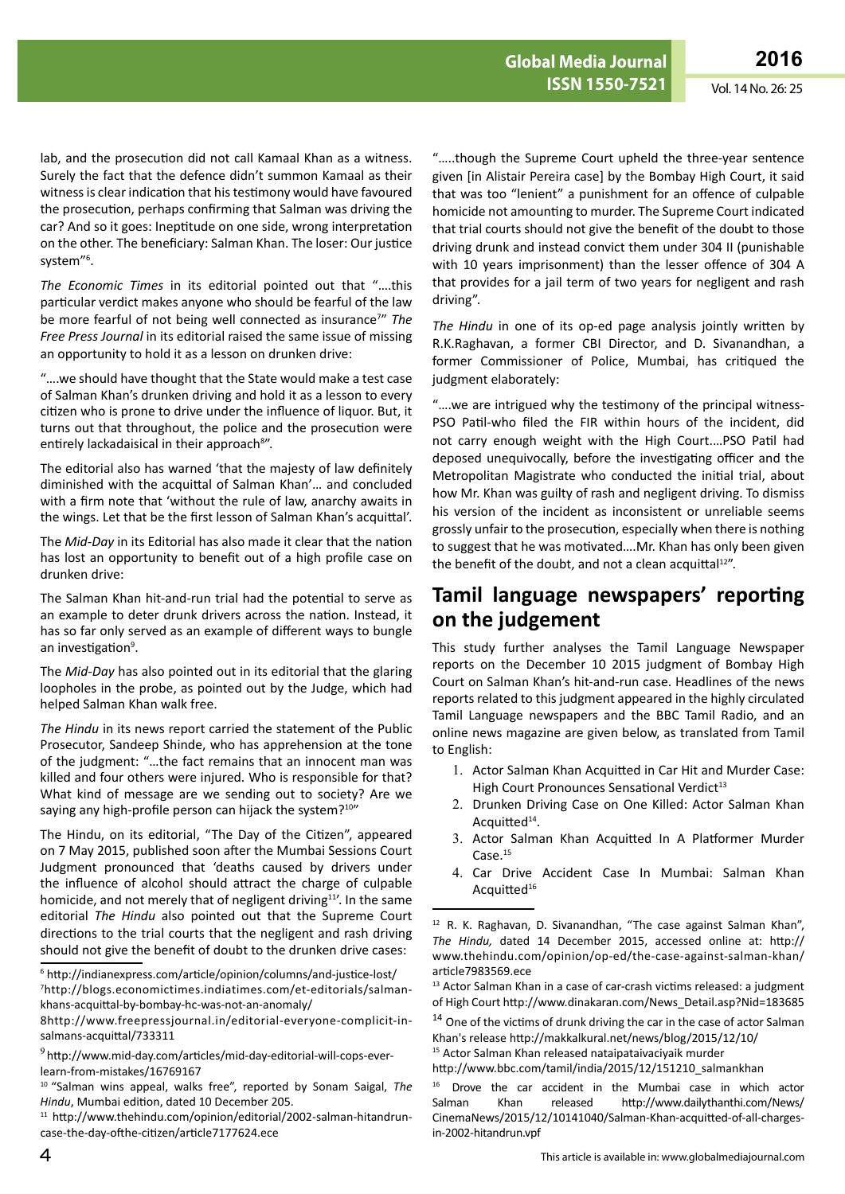lab, and the prosecution did not call Kamaal Khan as a witness. Surely the fact that the defence didn't summon Kamaal as their witness is clear indication that his testimony would have favoured the prosecution, perhaps confirming that Salman was driving the car? And so it goes: Ineptitude on one side, wrong interpretation on the other. The beneficiary: Salman Khan. The loser: Our justice system"6 .

*The Economic Times* in its editorial pointed out that "….this particular verdict makes anyone who should be fearful of the law be more fearful of not being well connected as insurance<sup>7</sup>" The *Free Press Journal* in its editorial raised the same issue of missing an opportunity to hold it as a lesson on drunken drive:

"….we should have thought that the State would make a test case of Salman Khan's drunken driving and hold it as a lesson to every citizen who is prone to drive under the influence of liquor. But, it turns out that throughout, the police and the prosecution were entirely lackadaisical in their approach<sup>8"</sup>.

The editorial also has warned 'that the majesty of law definitely diminished with the acquittal of Salman Khan'… and concluded with a firm note that 'without the rule of law, anarchy awaits in the wings. Let that be the first lesson of Salman Khan's acquittal'.

The *Mid-Day* in its Editorial has also made it clear that the nation has lost an opportunity to benefit out of a high profile case on drunken drive:

The Salman Khan hit-and-run trial had the potential to serve as an example to deter drunk drivers across the nation. Instead, it has so far only served as an example of different ways to bungle an investigation<sup>9</sup>.

The *Mid-Day* has also pointed out in its editorial that the glaring loopholes in the probe, as pointed out by the Judge, which had helped Salman Khan walk free.

*The Hindu* in its news report carried the statement of the Public Prosecutor, Sandeep Shinde, who has apprehension at the tone of the judgment: "…the fact remains that an innocent man was killed and four others were injured. Who is responsible for that? What kind of message are we sending out to society? Are we saying any high-profile person can hijack the system?<sup>10"</sup>

The Hindu, on its editorial, "The Day of the Citizen", appeared on 7 May 2015, published soon after the Mumbai Sessions Court Judgment pronounced that 'deaths caused by drivers under the influence of alcohol should attract the charge of culpable homicide, and not merely that of negligent driving<sup>11'</sup>. In the same editorial *The Hindu* also pointed out that the Supreme Court directions to the trial courts that the negligent and rash driving should not give the benefit of doubt to the drunken drive cases:

<sup>6</sup> <http://indianexpress.com/article/opinion/columns/and-justice-lost/> 7 [http://blogs.economictimes.indiatimes.com/et-editorials/salman](http://blogs.economictimes.indiatimes.com/et-editorials/salman-khans-acquittal-by-bombay-hc-was-not-an-anomaly/)[khans-acquittal-by-bombay-hc-was-not-an-anomaly/](http://blogs.economictimes.indiatimes.com/et-editorials/salman-khans-acquittal-by-bombay-hc-was-not-an-anomaly/)

<sup>11</sup> [http://www.thehindu.com/opinion/editorial/2002-salman-hitandrun](http://www.thehindu.com/opinion/editorial/2002-salman-hitandrun-case-the-day-ofthe-citizen/article7177624.ece)[case-the-day-ofthe-citizen/article7177624.ece](http://www.thehindu.com/opinion/editorial/2002-salman-hitandrun-case-the-day-ofthe-citizen/article7177624.ece)

"…..though the Supreme Court upheld the three-year sentence given [in Alistair Pereira case] by the Bombay High Court, it said that was too "lenient" a punishment for an offence of culpable homicide not amounting to murder. The Supreme Court indicated that trial courts should not give the benefit of the doubt to those driving drunk and instead convict them under 304 II (punishable with 10 years imprisonment) than the lesser offence of 304 A that provides for a jail term of two years for negligent and rash driving".

*The Hindu* in one of its op-ed page analysis jointly written by R.K.Raghavan, a former CBI Director, and D. Sivanandhan, a former Commissioner of Police, Mumbai, has critiqued the judgment elaborately:

"….we are intrigued why the testimony of the principal witness-PSO Patil-who filed the FIR within hours of the incident, did not carry enough weight with the High Court.…PSO Patil had deposed unequivocally, before the investigating officer and the Metropolitan Magistrate who conducted the initial trial, about how Mr. Khan was guilty of rash and negligent driving. To dismiss his version of the incident as inconsistent or unreliable seems grossly unfair to the prosecution, especially when there is nothing to suggest that he was motivated….Mr. Khan has only been given the benefit of the doubt, and not a clean acquittal $12"$ .

## **Tamil language newspapers' reporting on the judgement**

This study further analyses the Tamil Language Newspaper reports on the December 10 2015 judgment of Bombay High Court on Salman Khan's hit-and-run case. Headlines of the news reports related to this judgment appeared in the highly circulated Tamil Language newspapers and the BBC Tamil Radio, and an online news magazine are given below, as translated from Tamil to English:

- 1. Actor Salman Khan Acquitted in Car Hit and Murder Case: High Court Pronounces Sensational Verdict<sup>13</sup>
- 2. Drunken Driving Case on One Killed: Actor Salman Khan Acquitted<sup>14</sup>.
- 3. Actor Salman Khan Acquitted In A Platformer Murder Case.15
- 4. Car Drive Accident Case In Mumbai: Salman Khan Acquitted<sup>16</sup>

 $14$  One of the victims of drunk driving the car in the case of actor Salman Khan's release<http://makkalkural.net/news/blog/2015/12/10/>

15 Actor Salman Khan released nataipataivaciyaik murder

[http://www.bbc.com/tamil/india/2015/12/151210\\_salmankhan](http://www.bbc.com/tamil/india/2015/12/151210_salmankhan)

<sup>16</sup> Drove the car accident in the Mumbai case in which actor Salman Khan released [http://www.dailythanthi.com/News/](http://www.dailythanthi.com/News/CinemaNews/2015/12/10141040/Salman-Khan-acquitted-of-all-charges-in-2002-hitandrun.vpf) [CinemaNews/2015/12/10141040/Salman-Khan-acquitted-of-all-charges](http://www.dailythanthi.com/News/CinemaNews/2015/12/10141040/Salman-Khan-acquitted-of-all-charges-in-2002-hitandrun.vpf)[in-2002-hitandrun.vpf](http://www.dailythanthi.com/News/CinemaNews/2015/12/10141040/Salman-Khan-acquitted-of-all-charges-in-2002-hitandrun.vpf)

<sup>8</sup>[http://www.freepressjournal.in/editorial-everyone-complicit-in](http://www.freepressjournal.in/editorial-everyone-complicit-in-salmans-acquittal/733311)[salmans-acquittal/733311](http://www.freepressjournal.in/editorial-everyone-complicit-in-salmans-acquittal/733311)

<sup>9</sup> [http://www.mid-day.com/articles/mid-day-editorial-will-cops-ever](http://www.mid-day.com/articles/mid-day-editorial-will-cops-ever-learn-from-mistakes/16769167)[learn-from-mistakes/16769167](http://www.mid-day.com/articles/mid-day-editorial-will-cops-ever-learn-from-mistakes/16769167)

<sup>10</sup>"Salman wins appeal, walks free", reported by Sonam Saigal, *The Hindu*, Mumbai edition, dated 10 December 205.

<sup>&</sup>lt;sup>12</sup> R. K. Raghavan, D. Sivanandhan, "The case against Salman Khan", *The Hindu,* dated 14 December 2015, accessed online at: [http://](http://www.thehindu.com/opinion/op-ed/the-case-against-salman-khan/article7983569.ece) [www.thehindu.com/opinion/op-ed/the-case-against-salman-khan/](http://www.thehindu.com/opinion/op-ed/the-case-against-salman-khan/article7983569.ece) [article7983569.ece](http://www.thehindu.com/opinion/op-ed/the-case-against-salman-khan/article7983569.ece)

<sup>13</sup> Actor Salman Khan in a case of car-crash victims released: a judgment of High Court [http://www.dinakaran.com/News\\_Detail.asp?Nid=183685](http://www.dinakaran.com/News_Detail.asp?Nid=183685)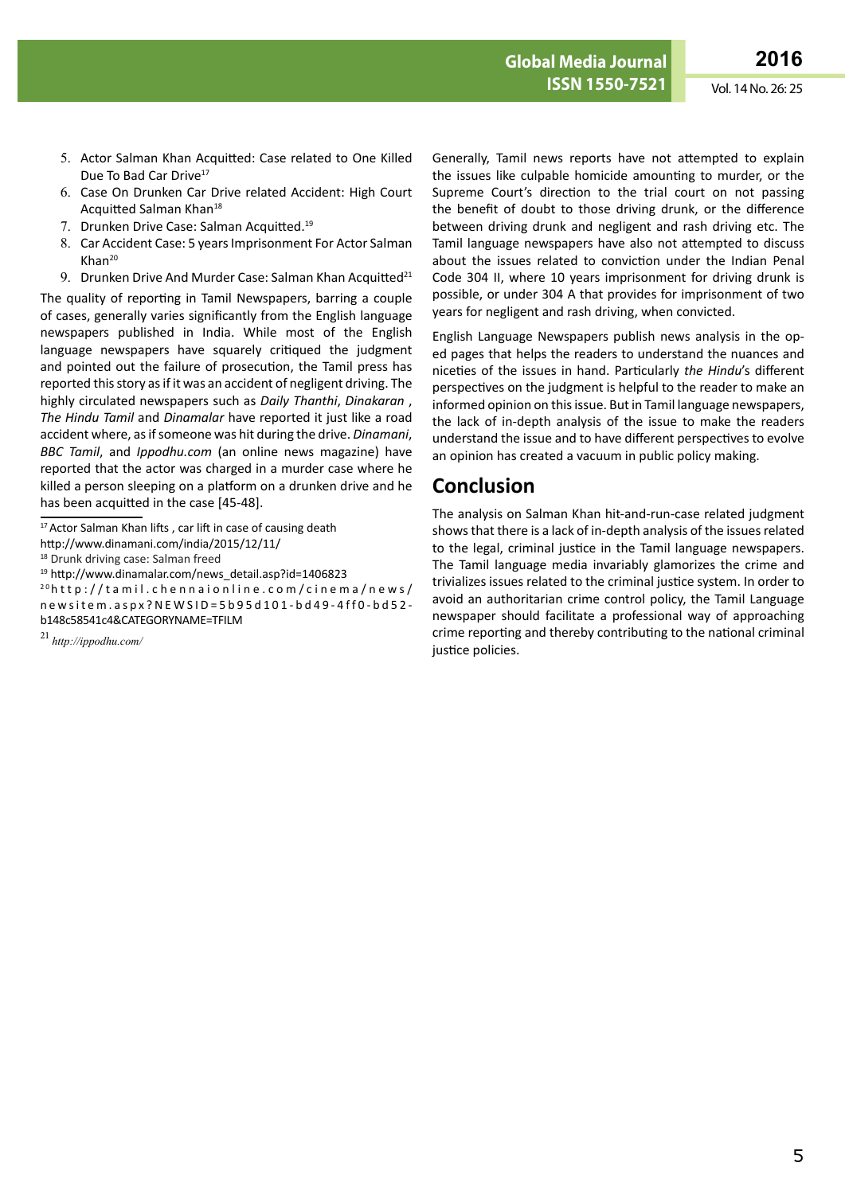**ISSN 1698-9465 ISSN 1550-7521** Vol. 14 No. 26: 25

- 5. Actor Salman Khan Acquitted: Case related to One Killed Due To Bad Car Drive<sup>17</sup>
- 6. Case On Drunken Car Drive related Accident: High Court Acquitted Salman Khan<sup>18</sup>
- 7. Drunken Drive Case: Salman Acquitted.19
- 8. Car Accident Case: 5 years Imprisonment For Actor Salman Khan20
- 9. Drunken Drive And Murder Case: Salman Khan Acquitted<sup>21</sup>

The quality of reporting in Tamil Newspapers, barring a couple of cases, generally varies significantly from the English language newspapers published in India. While most of the English language newspapers have squarely critiqued the judgment and pointed out the failure of prosecution, the Tamil press has reported this story as if it was an accident of negligent driving. The highly circulated newspapers such as *Daily Thanthi*, *Dinakaran* , *The Hindu Tamil* and *Dinamalar* have reported it just like a road accident where, as if someone was hit during the drive. *Dinamani*, *BBC Tamil*, and *Ippodhu.com* (an online news magazine) have reported that the actor was charged in a murder case where he killed a person sleeping on a platform on a drunken drive and he has been acquitted in the case [45-48].

<sup>19</sup> http://www.dinamalar.com/news\_detail.asp?id=1406823

2 0[http://tamil.chennaionline.com/cinema/news/](http://tamil.chennaionline.com/cinema/news/newsitem.aspx?NEWSID=5b95d101-bd49-4ff0-bd52-b148c58541c4&CATEGORYNAME=TFILM) [newsitem.aspx?NEWSID=5b95d101-bd49-4ff0-bd52](http://tamil.chennaionline.com/cinema/news/newsitem.aspx?NEWSID=5b95d101-bd49-4ff0-bd52-b148c58541c4&CATEGORYNAME=TFILM) [b148c58541c4&CATEGORYNAME=TFILM](http://tamil.chennaionline.com/cinema/news/newsitem.aspx?NEWSID=5b95d101-bd49-4ff0-bd52-b148c58541c4&CATEGORYNAME=TFILM)

Generally, Tamil news reports have not attempted to explain the issues like culpable homicide amounting to murder, or the Supreme Court's direction to the trial court on not passing the benefit of doubt to those driving drunk, or the difference between driving drunk and negligent and rash driving etc. The Tamil language newspapers have also not attempted to discuss about the issues related to conviction under the Indian Penal Code 304 II, where 10 years imprisonment for driving drunk is possible, or under 304 A that provides for imprisonment of two years for negligent and rash driving, when convicted.

English Language Newspapers publish news analysis in the oped pages that helps the readers to understand the nuances and niceties of the issues in hand. Particularly *the Hindu*'s different perspectives on the judgment is helpful to the reader to make an informed opinion on this issue. But in Tamil language newspapers, the lack of in-depth analysis of the issue to make the readers understand the issue and to have different perspectives to evolve an opinion has created a vacuum in public policy making.

#### **Conclusion**

The analysis on Salman Khan hit-and-run-case related judgment shows that there is a lack of in-depth analysis of the issues related to the legal, criminal justice in the Tamil language newspapers. The Tamil language media invariably glamorizes the crime and trivializes issues related to the criminal justice system. In order to avoid an authoritarian crime control policy, the Tamil Language newspaper should facilitate a professional way of approaching crime reporting and thereby contributing to the national criminal justice policies.

<sup>&</sup>lt;sup>17</sup> Actor Salman Khan lifts, car lift in case of causing death

<http://www.dinamani.com/india/2015/12/11/>

<sup>18</sup> Drunk driving case: Salman freed

<sup>21</sup>*<http://ippodhu.com/>*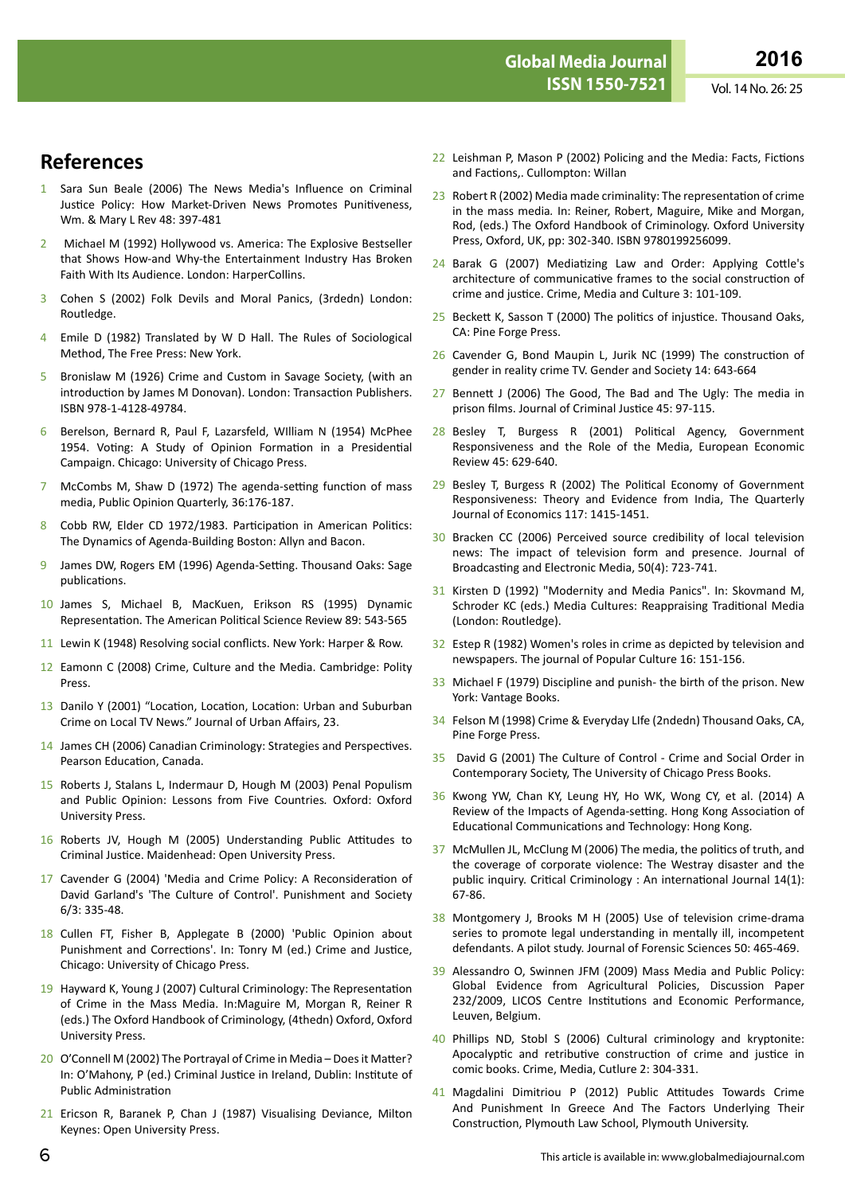## **References**

- 1 Sara Sun Beale (2006) The News Media's Influence on Criminal Justice Policy: How Market-Driven News Promotes Punitiveness, Wm. & Mary L Rev 48: 397-481
- 2 Michael M (1992) Hollywood vs. America: The Explosive Bestseller that Shows How-and Why-the Entertainment Industry Has Broken Faith With Its Audience. London: HarperCollins.
- 3 Cohen S (2002) Folk Devils and Moral Panics, (3rdedn) London: Routledge.
- 4 Emile D (1982) Translated by W D Hall. The Rules of Sociological Method, The Free Press: New York.
- 5 Bronislaw M (1926) Crime and Custom in Savage Society, (with an introduction by James M Donovan). London: Transaction Publishers. ISBN 978-1-4128-49784.
- 6 Berelson, Bernard R, Paul F, Lazarsfeld, WIlliam N (1954) McPhee 1954. Voting: A Study of Opinion Formation in a Presidential Campaign. Chicago: University of Chicago Press.
- 7 McCombs M, Shaw D (1972) The agenda-setting function of mass media, Public Opinion Quarterly, 36:176-187.
- 8 Cobb RW, Elder CD 1972/1983. Participation in American Politics: The Dynamics of Agenda-Building Boston: Allyn and Bacon.
- 9 James DW, Rogers EM (1996) Agenda-Setting. Thousand Oaks: Sage publications.
- 10 James S, Michael B, MacKuen, Erikson RS (1995) Dynamic Representation. The American Political Science Review 89: 543-565
- 11 Lewin K (1948) Resolving social conflicts. New York: Harper & Row.
- 12 Eamonn C (2008) Crime, Culture and the Media. Cambridge: Polity Press.
- 13 Danilo Y (2001) "Location, Location, Location: Urban and Suburban Crime on Local TV News." Journal of Urban Affairs, 23.
- 14 James CH (2006) Canadian Criminology: Strategies and Perspectives. Pearson Education, Canada.
- 15 Roberts J, Stalans L, Indermaur D, Hough M (2003) Penal Populism and Public Opinion: Lessons from Five Countries*.* Oxford: Oxford University Press.
- 16 Roberts JV, Hough M (2005) Understanding Public Attitudes to Criminal Justice. Maidenhead: Open University Press.
- 17 Cavender G (2004) 'Media and Crime Policy: A Reconsideration of David Garland's 'The Culture of Control'. Punishment and Society 6/3: 335-48.
- 18 Cullen FT, Fisher B, Applegate B (2000) 'Public Opinion about Punishment and Corrections'. In: Tonry M (ed.) Crime and Justice, Chicago: University of Chicago Press.
- 19 Hayward K, Young J (2007) Cultural Criminology: The Representation of Crime in the Mass Media. In:Maguire M, Morgan R, Reiner R (eds.) The Oxford Handbook of Criminology, (4thedn) Oxford, Oxford University Press.
- 20 O'Connell M (2002) The Portrayal of Crime in Media Does it Matter? In: O'Mahony, P (ed.) Criminal Justice in Ireland, Dublin: Institute of Public Administration
- 21 Ericson R, Baranek P, Chan J (1987) Visualising Deviance, Milton Keynes: Open University Press.
- 22 Leishman P, Mason P (2002) Policing and the Media: Facts, Fictions and Factions,. Cullompton: Willan
- 23 Robert R (2002) Media made criminality: The representation of crime in the mass media*.* In: Reiner, Robert, Maguire, Mike and Morgan, Rod, (eds.) The Oxford Handbook of Criminology. Oxford University Press, Oxford, UK, pp: 302-340. ISBN 9780199256099.
- 24 Barak G (2007) Mediatizing Law and Order: Applying Cottle's architecture of communicative frames to the social construction of crime and justice. Crime, Media and Culture 3: 101-109.
- 25 Beckett K, Sasson T (2000) The politics of injustice. Thousand Oaks, CA: Pine Forge Press.
- 26 Cavender G, Bond Maupin L, Jurik NC (1999) The construction of gender in reality crime TV. Gender and Society 14: 643-664
- 27 Bennett J (2006) The Good, The Bad and The Ugly: The media in prison films. Journal of Criminal Justice 45: 97-115.
- 28 Besley T, Burgess R (2001) Political Agency, Government Responsiveness and the Role of the Media, European Economic Review 45: 629-640.
- 29 Besley T, Burgess R (2002) The Political Economy of Government Responsiveness: Theory and Evidence from India, The Quarterly Journal of Economics 117: 1415-1451.
- 30 Bracken CC (2006) Perceived source credibility of local television news: The impact of television form and presence. Journal of Broadcasting and Electronic Media, 50(4): 723-741.
- 31 Kirsten D (1992) "Modernity and Media Panics". In: Skovmand M, Schroder KC (eds.) Media Cultures: Reappraising Traditional Media (London: Routledge).
- 32 Estep R (1982) Women's roles in crime as depicted by television and newspapers. The journal of Popular Culture 16: 151-156.
- 33 Michael F (1979) Discipline and punish- the birth of the prison. New York: Vantage Books.
- 34 Felson M (1998) Crime & Everyday LIfe (2ndedn) Thousand Oaks, CA, Pine Forge Press.
- 35 David G (2001) The Culture of Control Crime and Social Order in Contemporary Society, The University of Chicago Press Books.
- 36 Kwong YW, Chan KY, Leung HY, Ho WK, Wong CY, et al. (2014) A Review of the Impacts of Agenda-setting. Hong Kong Association of Educational Communications and Technology: Hong Kong.
- 37 McMullen JL, McClung M (2006) The media, the politics of truth, and the coverage of corporate violence: The Westray disaster and the public inquiry. Critical Criminology : An international Journal 14(1): 67-86.
- 38 Montgomery J, Brooks M H (2005) Use of television crime-drama series to promote legal understanding in mentally ill, incompetent defendants. A pilot study. Journal of Forensic Sciences 50: 465-469.
- 39 Alessandro O, Swinnen JFM (2009) Mass Media and Public Policy: Global Evidence from Agricultural Policies, Discussion Paper 232/2009, LICOS Centre Institutions and Economic Performance, Leuven, Belgium.
- 40 Phillips ND, Stobl S (2006) Cultural criminology and kryptonite: Apocalyptic and retributive construction of crime and justice in comic books. Crime, Media, Cutlure 2: 304-331.
- 41 Magdalini Dimitriou P (2012) Public Attitudes Towards Crime And Punishment In Greece And The Factors Underlying Their Construction, Plymouth Law School, Plymouth University.